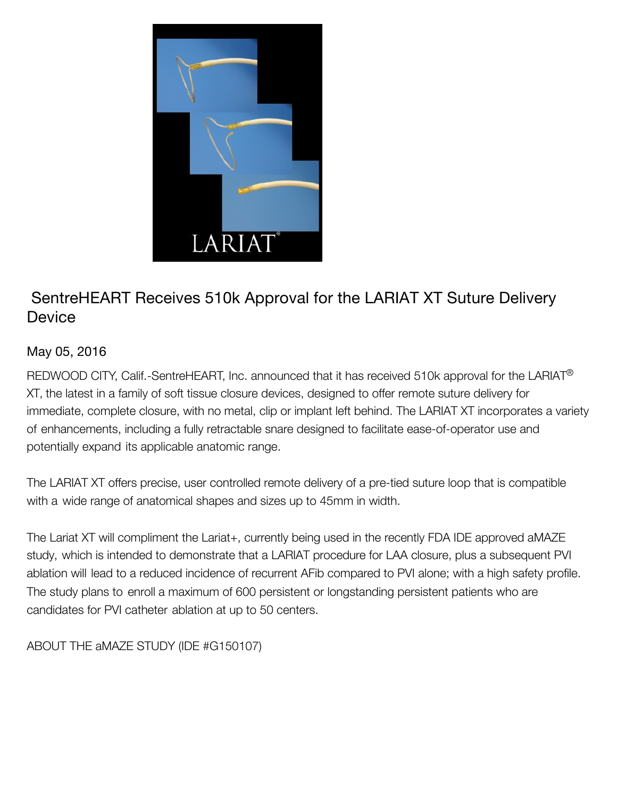

## SentreHEART Receives 510k Approval for the LARIAT XT Suture Delivery **Device**

## May 05, 2016

REDWOOD CITY, Calif.-SentreHEART, Inc. announced that it has received 510k approval for the LARIAT<sup>®</sup> XT, the latest in a family of soft tissue closure devices, designed to offer remote suture delivery for immediate, complete closure, with no metal, clip or implant left behind. The LARIAT XT incorporates a variety of enhancements, including a fully retractable snare designed to facilitate ease-of-operator use and potentially expand its applicable anatomic range.

The LARIAT XT offers precise, user controlled remote delivery of a pre-tied suture loop that is compatible with a wide range of anatomical shapes and sizes up to 45mm in width.

The Lariat XT will compliment the Lariat+, currently being used in the recently FDA IDE approved aMAZE study, which is intended to demonstrate that a LARIAT procedure for LAA closure, plus a subsequent PVI ablation will lead to a reduced incidence of recurrent AFib compared to PVI alone; with a high safety profile. The study plans to enroll a maximum of 600 persistent or longstanding persistent patients who are candidates for PVI catheter ablation at up to 50 centers.

ABOUT THE aMAZE STUDY (IDE #G150107)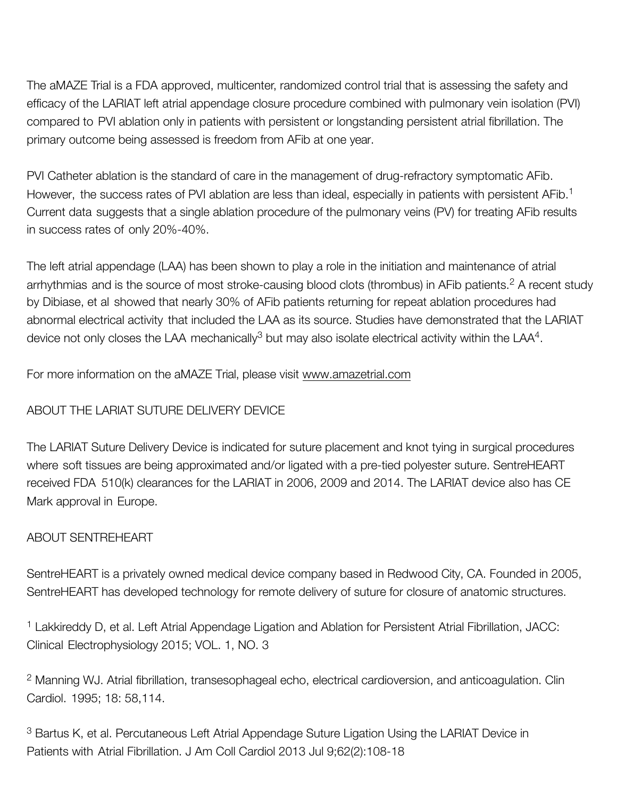The aMAZE Trial is a FDA approved, multicenter, randomized control trial that is assessing the safety and efficacy of the LARIAT left atrial appendage closure procedure combined with pulmonary vein isolation (PVI) compared to PVI ablation only in patients with persistent or longstanding persistent atrial fibrillation. The primary outcome being assessed is freedom from AFib at one year.

PVI Catheter ablation is the standard of care in the management of drug-refractory symptomatic AFib. However, the success rates of PVI ablation are less than ideal, especially in patients with persistent AFib.<sup>1</sup> Current data suggests that a single ablation procedure of the pulmonary veins (PV) for treating AFib results in success rates of only 20%-40%.

The left atrial appendage (LAA) has been shown to play a role in the initiation and maintenance of atrial arrhythmias and is the source of most stroke-causing blood clots (thrombus) in AFib patients.<sup>2</sup> A recent study by Dibiase, et al showed that nearly 30% of AFib patients returning for repeat ablation procedures had abnormal electrical activity that included the LAA as its source. Studies have demonstrated that the LARIAT device not only closes the LAA mechanically<sup>3</sup> but may also isolate electrical activity within the LAA<sup>4</sup>.

For more information on the aMAZE Trial, please visit www.amazetrial.com

## ABOUT THE LARIAT SUTURE DELIVERY DEVICE

The LARIAT Suture Delivery Device is indicated for suture placement and knot tying in surgical procedures where soft tissues are being approximated and/or ligated with a pre-tied polyester suture. SentreHEART received FDA 510(k) clearances for the LARIAT in 2006, 2009 and 2014. The LARIAT device also has CE Mark approval in Europe.

## ABOUT SENTREHEART

SentreHEART is a privately owned medical device company based in Redwood City, CA. Founded in 2005, SentreHEART has developed technology for remote delivery of suture for closure of anatomic structures.

<sup>1</sup> Lakkireddy D, et al. Left Atrial Appendage Ligation and Ablation for Persistent Atrial Fibrillation, JACC: Clinical Electrophysiology 2015; VOL. 1, NO. 3

<sup>2</sup> Manning WJ. Atrial fibrillation, transesophageal echo, electrical cardioversion, and anticoagulation. Clin Cardiol. 1995; 18: 58,114.

<sup>3</sup> Bartus K, et al. Percutaneous Left Atrial Appendage Suture Ligation Using the LARIAT Device in Patients with Atrial Fibrillation. J Am Coll Cardiol 2013 Jul 9;62(2):108-18